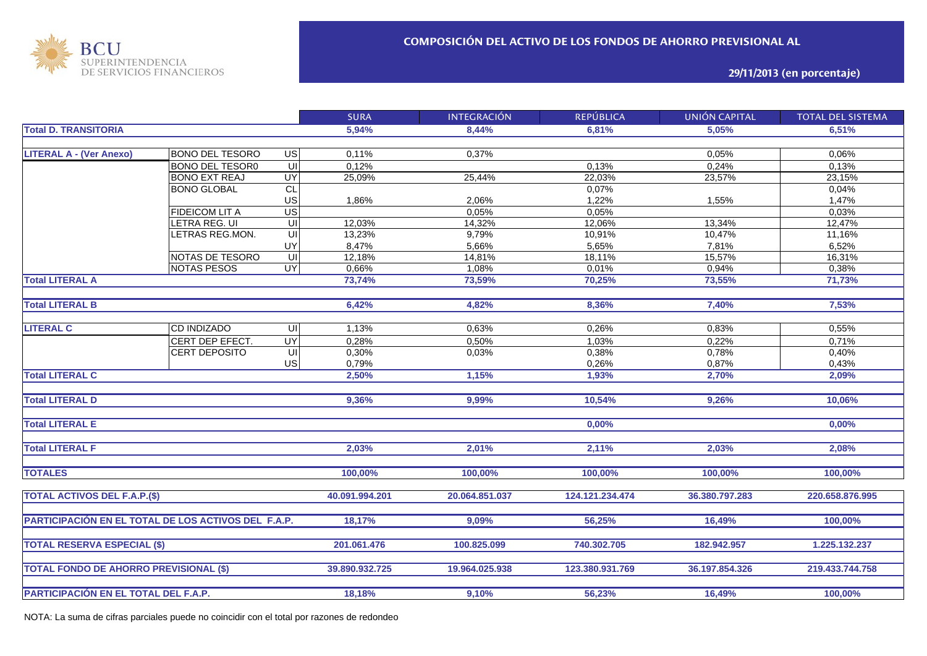

**29/11/2013 (en porcentaje)**

|                                                     |                        |                         | <b>SURA</b>    | <b>INTEGRACIÓN</b> | <b>REPÚBLICA</b> | <b>UNIÓN CAPITAL</b> | <b>TOTAL DEL SISTEMA</b> |
|-----------------------------------------------------|------------------------|-------------------------|----------------|--------------------|------------------|----------------------|--------------------------|
| <b>Total D. TRANSITORIA</b>                         |                        | 5,94%                   | 8,44%          | 6.81%              | 5,05%            | 6,51%                |                          |
|                                                     |                        |                         |                |                    |                  |                      |                          |
| <b>LITERAL A - (Ver Anexo)</b>                      | <b>BONO DEL TESORO</b> | $\overline{G}$          | 0,11%          | 0,37%              |                  | 0,05%                | 0,06%                    |
|                                                     | <b>BONO DEL TESOR0</b> | Ξ                       | 0,12%          |                    | 0,13%            | 0,24%                | 0,13%                    |
|                                                     | <b>BONO EXT REAJ</b>   | <b>UY</b>               | 25,09%         | 25,44%             | 22,03%           | 23,57%               | 23,15%                   |
|                                                     | <b>BONO GLOBAL</b>     | CL                      |                |                    | 0,07%            |                      | 0,04%                    |
|                                                     |                        | US                      | 1,86%          | 2,06%              | 1,22%            | 1,55%                | 1,47%                    |
|                                                     | <b>FIDEICOM LIT A</b>  | <b>US</b>               |                | 0,05%              | 0,05%            |                      | 0,03%                    |
|                                                     | LETRA REG. UI          | UI                      | 12,03%         | 14,32%             | 12,06%           | 13,34%               | 12,47%                   |
|                                                     | LETRAS REG.MON.        | UI                      | 13,23%         | 9,79%              | 10,91%           | 10,47%               | 11,16%                   |
|                                                     |                        | UY                      | 8,47%          | 5,66%              | 5,65%            | 7,81%                | 6,52%                    |
|                                                     | NOTAS DE TESORO        | $\subseteq$             | $12,18\%$      | 14,81%             | 18,11%           | 15,57%               | 16,31%                   |
|                                                     | <b>NOTAS PESOS</b>     | $\overline{\mathsf{C}}$ | 0,66%          | 1,08%              | 0,01%            | 0,94%                | 0,38%                    |
| <b>Total LITERAL A</b>                              |                        |                         | 73,74%         | 73,59%             | 70,25%           | 73,55%               | 71,73%                   |
|                                                     |                        |                         |                |                    |                  |                      |                          |
| <b>Total LITERAL B</b>                              |                        |                         | 6,42%          | 4,82%              | 8,36%            | 7,40%                | 7,53%                    |
|                                                     |                        |                         |                |                    |                  |                      |                          |
| <b>LITERAL C</b>                                    | <b>CD INDIZADO</b>     | UI                      | 1,13%          | 0,63%              | 0,26%            | 0,83%                | 0,55%                    |
|                                                     | CERT DEP EFECT.        | <b>UY</b>               | 0,28%          | 0,50%              | 1,03%            | 0,22%                | 0,71%                    |
|                                                     | <b>CERT DEPOSITO</b>   | $\subseteq$             | 0,30%          | 0,03%              | 0,38%            | 0,78%                | 0,40%                    |
|                                                     |                        | US                      | 0,79%          |                    | 0,26%            | 0,87%                | 0,43%                    |
| <b>Total LITERAL C</b>                              |                        |                         | 2,50%          | 1,15%              | 1,93%            | 2,70%                | 2,09%                    |
|                                                     |                        |                         |                |                    |                  |                      |                          |
| <b>Total LITERAL D</b>                              |                        |                         | 9,36%          | 9,99%              | 10,54%           | 9,26%                | 10,06%                   |
|                                                     |                        |                         |                |                    |                  |                      |                          |
| <b>Total LITERAL E</b>                              |                        |                         |                |                    | 0,00%            |                      | 0,00%                    |
|                                                     |                        |                         |                |                    |                  |                      |                          |
| <b>Total LITERAL F</b>                              |                        |                         | 2,03%          | 2,01%              | 2,11%            | 2,03%                | 2,08%                    |
|                                                     |                        |                         |                |                    |                  |                      |                          |
| <b>TOTALES</b>                                      |                        |                         | 100,00%        | 100,00%            | 100,00%          | 100,00%              | 100,00%                  |
|                                                     |                        |                         |                |                    |                  |                      |                          |
| <b>TOTAL ACTIVOS DEL F.A.P.(\$)</b>                 |                        |                         | 40.091.994.201 | 20.064.851.037     | 124.121.234.474  | 36.380.797.283       | 220.658.876.995          |
|                                                     |                        |                         |                |                    |                  |                      |                          |
| PARTICIPACIÓN EN EL TOTAL DE LOS ACTIVOS DEL F.A.P. |                        |                         | 18,17%         | 9.09%              | 56,25%           | 16.49%               | 100.00%                  |
|                                                     |                        |                         |                |                    |                  |                      |                          |
| <b>TOTAL RESERVA ESPECIAL (\$)</b>                  |                        |                         | 201.061.476    | 100.825.099        | 740.302.705      | 182.942.957          | 1.225.132.237            |
|                                                     |                        |                         |                |                    |                  |                      |                          |
| <b>TOTAL FONDO DE AHORRO PREVISIONAL (\$)</b>       |                        |                         | 39.890.932.725 | 19.964.025.938     | 123.380.931.769  | 36.197.854.326       | 219.433.744.758          |
|                                                     |                        |                         |                |                    |                  |                      |                          |
|                                                     |                        |                         |                |                    |                  |                      |                          |
| PARTICIPACIÓN EN EL TOTAL DEL F.A.P.                |                        | 18,18%                  | 9,10%          | 56,23%             | 16,49%           | 100,00%              |                          |

NOTA: La suma de cifras parciales puede no coincidir con el total por razones de redondeo